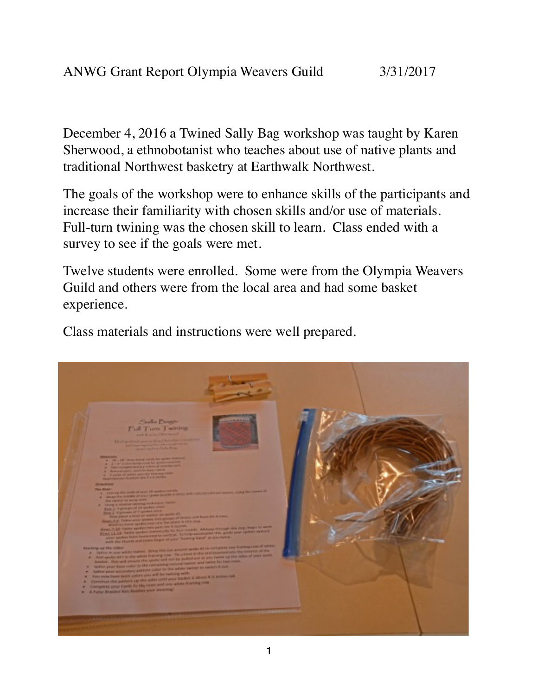December 4, 2016 a Twined Sally Bag workshop was taught by Karen Sherwood, a ethnobotanist who teaches about use of native plants and traditional Northwest basketry at Earthwalk Northwest.

The goals of the workshop were to enhance skills of the participants and increase their familiarity with chosen skills and/or use of materials. Full-turn twining was the chosen skill to learn. Class ended with a survey to see if the goals were met.

Twelve students were enrolled. Some were from the Olympia Weavers Guild and others were from the local area and had some basket experience.

Class materials and instructions were well prepared.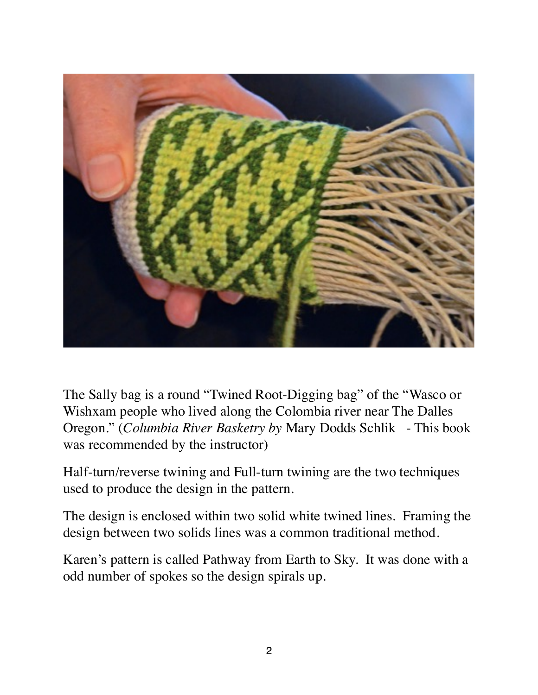

The Sally bag is a round "Twined Root-Digging bag" of the "Wasco or Wishxam people who lived along the Colombia river near The Dalles Oregon." (*Columbia River Basketry by* Mary Dodds Schlik - This book was recommended by the instructor)

Half-turn/reverse twining and Full-turn twining are the two techniques used to produce the design in the pattern.

The design is enclosed within two solid white twined lines. Framing the design between two solids lines was a common traditional method.

Karen's pattern is called Pathway from Earth to Sky. It was done with a odd number of spokes so the design spirals up.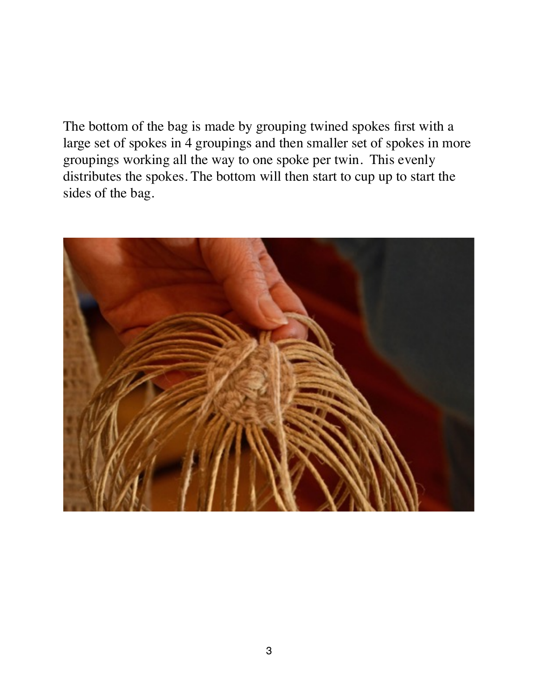The bottom of the bag is made by grouping twined spokes first with a large set of spokes in 4 groupings and then smaller set of spokes in more groupings working all the way to one spoke per twin. This evenly distributes the spokes. The bottom will then start to cup up to start the sides of the bag.

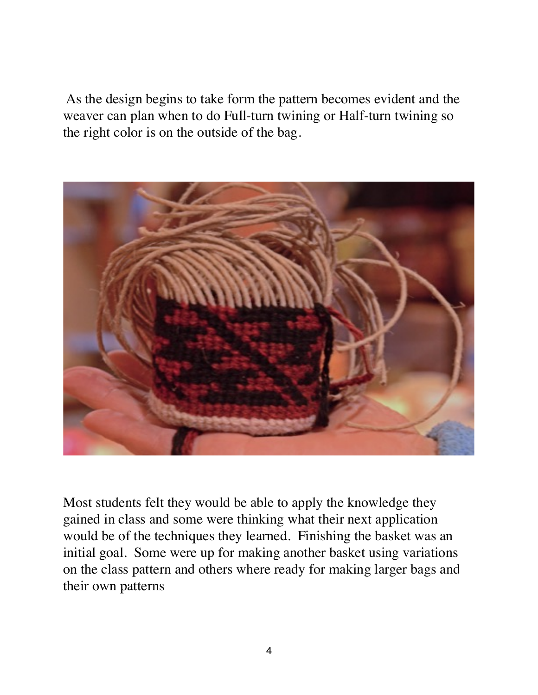As the design begins to take form the pattern becomes evident and the weaver can plan when to do Full-turn twining or Half-turn twining so the right color is on the outside of the bag.



Most students felt they would be able to apply the knowledge they gained in class and some were thinking what their next application would be of the techniques they learned. Finishing the basket was an initial goal. Some were up for making another basket using variations on the class pattern and others where ready for making larger bags and their own patterns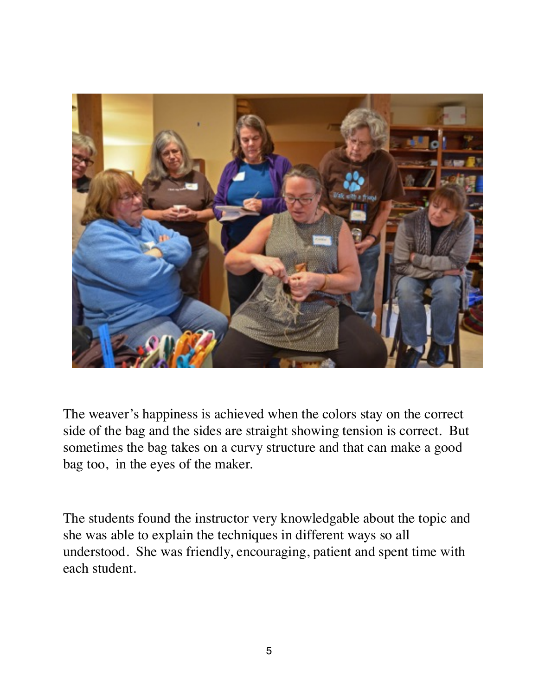

The weaver's happiness is achieved when the colors stay on the correct side of the bag and the sides are straight showing tension is correct. But sometimes the bag takes on a curvy structure and that can make a good bag too, in the eyes of the maker.

The students found the instructor very knowledgable about the topic and she was able to explain the techniques in different ways so all understood. She was friendly, encouraging, patient and spent time with each student.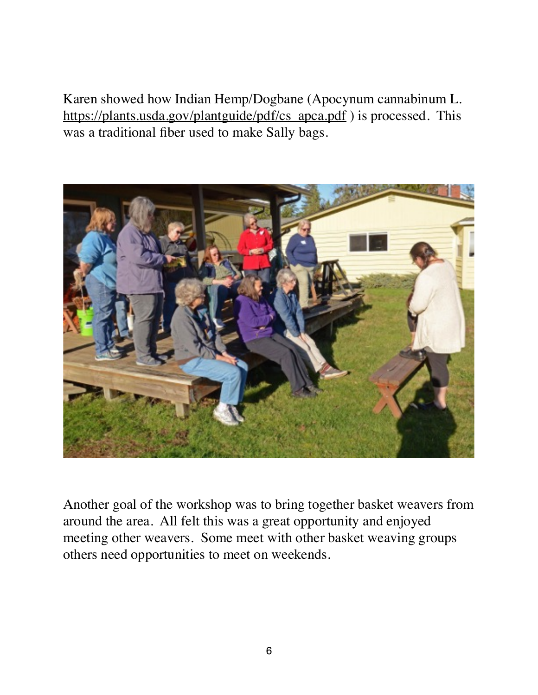Karen showed how Indian Hemp/Dogbane (Apocynum cannabinum L. [https://plants.usda.gov/plantguide/pdf/cs\\_apca.pdf](https://plants.usda.gov/plantguide/pdf/cs_apca.pdf) ) is processed. This was a traditional fiber used to make Sally bags.



Another goal of the workshop was to bring together basket weavers from around the area. All felt this was a great opportunity and enjoyed meeting other weavers. Some meet with other basket weaving groups others need opportunities to meet on weekends.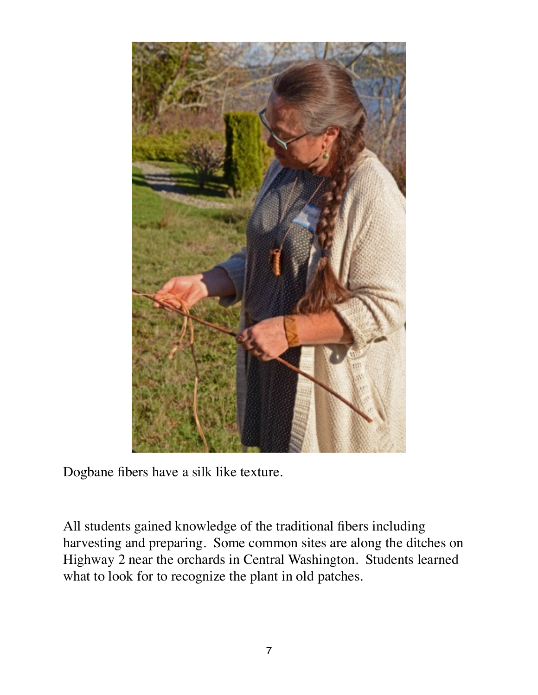

Dogbane fibers have a silk like texture.

All students gained knowledge of the traditional fibers including harvesting and preparing. Some common sites are along the ditches on Highway 2 near the orchards in Central Washington. Students learned what to look for to recognize the plant in old patches.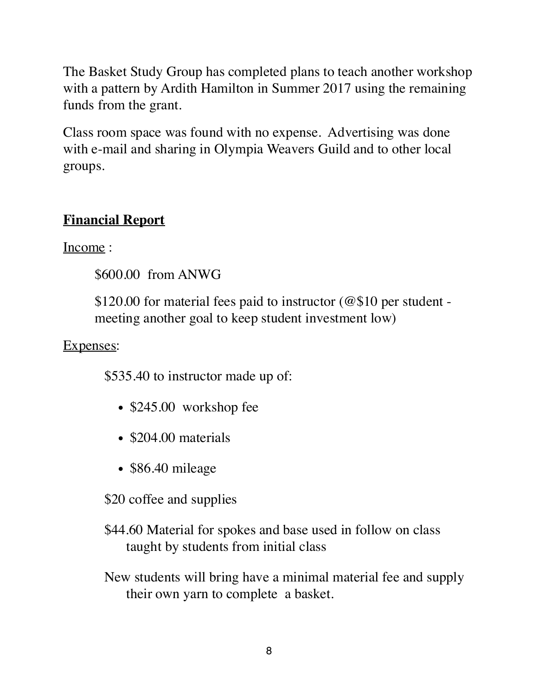The Basket Study Group has completed plans to teach another workshop with a pattern by Ardith Hamilton in Summer 2017 using the remaining funds from the grant.

Class room space was found with no expense. Advertising was done with e-mail and sharing in Olympia Weavers Guild and to other local groups.

## **Financial Report**

Income :

\$600.00 from ANWG

\$120.00 for material fees paid to instructor (@\$10 per student meeting another goal to keep student investment low)

Expenses:

\$535.40 to instructor made up of:

- \$245.00 workshop fee
- \$204.00 materials
- \$86.40 mileage

\$20 coffee and supplies

- \$44.60 Material for spokes and base used in follow on class taught by students from initial class
- New students will bring have a minimal material fee and supply their own yarn to complete a basket.